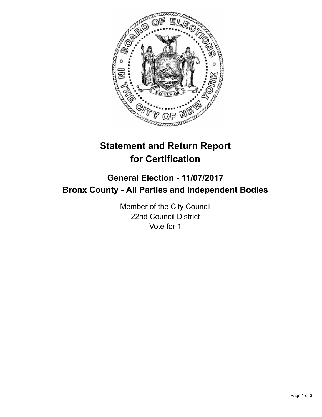

## **Statement and Return Report for Certification**

## **General Election - 11/07/2017 Bronx County - All Parties and Independent Bodies**

Member of the City Council 22nd Council District Vote for 1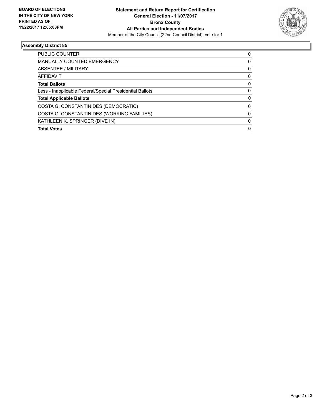

## **Assembly District 85**

| <b>Total Votes</b>                                       | 0        |
|----------------------------------------------------------|----------|
| KATHLEEN K. SPRINGER (DIVE IN)                           | $\Omega$ |
| COSTA G. CONSTANTINIDES (WORKING FAMILIES)               | 0        |
| COSTA G. CONSTANTINIDES (DEMOCRATIC)                     | 0        |
| <b>Total Applicable Ballots</b>                          | 0        |
| Less - Inapplicable Federal/Special Presidential Ballots | 0        |
| <b>Total Ballots</b>                                     | 0        |
| AFFIDAVIT                                                | 0        |
| ABSENTEE / MILITARY                                      | 0        |
| <b>MANUALLY COUNTED EMERGENCY</b>                        | 0        |
| <b>PUBLIC COUNTER</b>                                    | 0        |